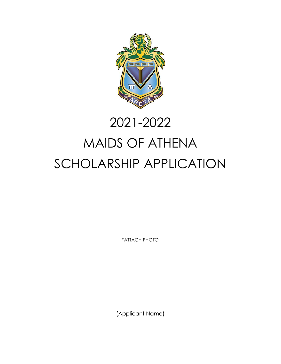

# 2021-2022

# MAIDS OF ATHENA SCHOLARSHIP APPLICATION

\*ATTACH PHOTO

(Applicant Name)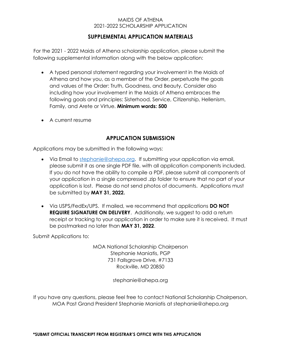# **SUPPLEMENTAL APPLICATION MATERIALS**

For the 2021 - 2022 Maids of Athena scholarship application, please submit the following supplemental information along with the below application:

- A typed personal statement regarding your involvement in the Maids of Athena and how you, as a member of the Order, perpetuate the goals and values of the Order: Truth, Goodness, and Beauty. Consider also including how your involvement in the Maids of Athena embraces the following goals and principles: Sisterhood, Service, Citizenship, Hellenism, Family, and Arete or Virtue. **Minimum words: 500**
- A current resume

# **APPLICATION SUBMISSION**

Applications may be submitted in the following ways:

- Via Email to [stephanie@ahepa.org.](mailto:stephanie@ahepa.org) If submitting your application via email, please submit it as one single PDF file, with all application components included. If you do not have the ability to compile a PDF, please submit all components of your application in a single compressed .zip folder to ensure that no part of your application is lost. Please do not send photos of documents. Applications must be submitted by **MAY 31, 2022.**
- Via USPS/FedEx/UPS. If mailed, we recommend that applications **DO NOT REQUIRE SIGNATURE ON DELIVERY**. Additionally, we suggest to add a return receipt or tracking to your application in order to make sure it is received. It must be postmarked no later than **MAY 31, 2022**.

Submit Applications to:

MOA National Scholarship Chairperson Stephanie Maniatis, PGP 731 Fallsgrove Drive, #7133 Rockville, MD 20850

stephanie@ahepa.org

If you have any questions, please feel free to contact National Scholarship Chairperson, MOA Past Grand President Stephanie Maniatis at stephanie@ahepa.org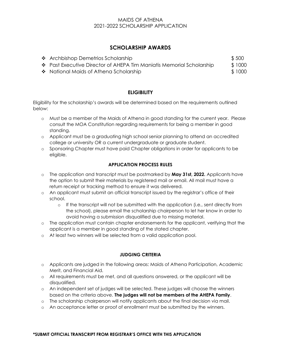# **SCHOLARSHIP AWARDS**

| ❖ Archbishop Demetrios Scholarship                                        | \$500  |
|---------------------------------------------------------------------------|--------|
| $\div$ Past Executive Director of AHEPA Tim Maniatis Memorial Scholarship | \$1000 |
| ❖ National Maids of Athena Scholarship                                    | \$1000 |

# **ELIGIBILITY**

Eligibility for the scholarship's awards will be determined based on the requirements outlined below:

- o Must be a member of the Maids of Athena in good standing for the current year. Please consult the MOA Constitution regarding requirements for being a member in good standing.
- o Applicant must be a graduating high school senior planning to attend an accredited college or university OR a current undergraduate or graduate student.
- o Sponsoring Chapter must have paid Chapter obligations in order for applicants to be eligible.

# **APPLICATION PROCESS RULES**

- o The application and transcript must be postmarked by **May 31st, 2022.** Applicants have the option to submit their materials by registered mail or email. All mail must have a return receipt or tracking method to ensure it was delivered.
- o An applicant must submit an official transcript issued by the registrar's office of their school.
	- o If the transcript will not be submitted with the application (i.e., sent directly from the school), please email the scholarship chairperson to let her know in order to avoid having a submission disqualified due to missing material.
- o The application must contain chapter endorsements for the applicant, verifying that the applicant is a member in good standing of the stated chapter.
- o At least two winners will be selected from a valid application pool.

#### **JUDGING CRITERIA**

- o Applicants are judged in the following areas: Maids of Athena Participation, Academic Merit, and Financial Aid.
- o All requirements must be met, and all questions answered, or the applicant will be disqualified.
- o An independent set of judges will be selected. These judges will choose the winners based on the criteria above. **The judges will not be members of the AHEPA Family**.
- o The scholarship chairperson will notify applicants about the final decision via mail.
- o An acceptance letter or proof of enrollment must be submitted by the winners.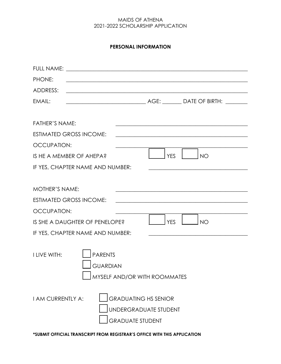# **PERSONAL INFORMATION**

| PHONE:<br><u> 1989 - Johann Stoff, amerikansk politiker (d. 1989)</u>                                       |            |                                                                                                                       |
|-------------------------------------------------------------------------------------------------------------|------------|-----------------------------------------------------------------------------------------------------------------------|
| ADDRESS:<br><u> 1989 - Johann Stoff, amerikansk politiker (d. 1989)</u>                                     |            |                                                                                                                       |
| EMAIL:                                                                                                      |            |                                                                                                                       |
|                                                                                                             |            |                                                                                                                       |
| <b>FATHER'S NAME:</b>                                                                                       |            | <u> 1999 - Jan James James James James James James James James James James James James James James James James J</u>  |
| <b>ESTIMATED GROSS INCOME:</b>                                                                              |            | <u> 1989 - Johann Stoff, deutscher Stoff, der Stoff, der Stoff, der Stoff, der Stoff, der Stoff, der Stoff, der S</u> |
| <b>OCCUPATION:</b>                                                                                          |            |                                                                                                                       |
| IS HE A MEMBER OF AHEPA?                                                                                    | <b>YES</b> | <b>NO</b>                                                                                                             |
| IF YES, CHAPTER NAME AND NUMBER:                                                                            |            | the control of the control of the control of the control of the control of the control of the control of              |
|                                                                                                             |            |                                                                                                                       |
| <b>MOTHER'S NAME:</b>                                                                                       |            |                                                                                                                       |
| <b>ESTIMATED GROSS INCOME:</b>                                                                              |            | <u> 1989 - Johann Stein, marwolaethau a bhann an t-Amhain an t-Amhain an t-Amhain an t-Amhain an t-Amhain an t-A</u>  |
| <b>OCCUPATION:</b>                                                                                          |            |                                                                                                                       |
| IS SHE A DAUGHTER OF PENELOPE?                                                                              | <b>YES</b> | <b>NO</b>                                                                                                             |
| IF YES, CHAPTER NAME AND NUMBER:                                                                            |            | <u> 1989 - Johann Barbara, martxa alemaniar amerikan a</u>                                                            |
| <b>PARENTS</b><br>I LIVE WITH:<br><b>GUARDIAN</b><br>MYSELF AND/OR WITH ROOMMATES                           |            |                                                                                                                       |
| <b>GRADUATING HS SENIOR</b><br><b>I AM CURRENTLY A:</b><br>UNDERGRADUATE STUDENT<br><b>GRADUATE STUDENT</b> |            |                                                                                                                       |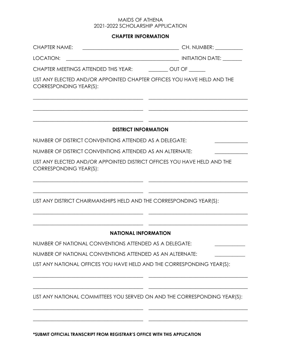# **CHAPTER INFORMATION**

| LOCATION:                                                                                          |  |
|----------------------------------------------------------------------------------------------------|--|
| CHAPTER MEETINGS ATTENDED THIS YEAR: ___________ OUT OF _______                                    |  |
| LIST ANY ELECTED AND/OR APPOINTED CHAPTER OFFICES YOU HAVE HELD AND THE<br>CORRESPONDING YEAR(S):  |  |
| <b>DISTRICT INFORMATION</b>                                                                        |  |
| NUMBER OF DISTRICT CONVENTIONS ATTENDED AS A DELEGATE:                                             |  |
| NUMBER OF DISTRICT CONVENTIONS ATTENDED AS AN ALTERNATE:                                           |  |
| LIST ANY ELECTED AND/OR APPOINTED DISTRICT OFFICES YOU HAVE HELD AND THE<br>CORRESPONDING YEAR(S): |  |
| LIST ANY DISTRICT CHAIRMANSHIPS HELD AND THE CORRESPONDING YEAR(S):                                |  |
| <b>NATIONAL INFORMATION</b>                                                                        |  |
| NUMBER OF NATIONAL CONVENTIONS ATTENDED AS A DELEGATE:                                             |  |
| NUMBER OF NATIONAL CONVENTIONS ATTENDED AS AN ALTERNATE:                                           |  |
| LIST ANY NATIONAL OFFICES YOU HAVE HELD AND THE CORRESPONDING YEAR(S):                             |  |
| LIST ANY NATIONAL COMMITTEES YOU SERVED ON AND THE CORRESPONDING YEAR(S):                          |  |
|                                                                                                    |  |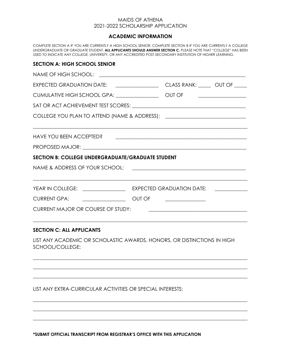#### **ACADEMIC INFORMATION**

COMPLETE SECTION A IF YOU ARE CURRENTLY A HIGH SCHOOL SENIOR. COMPLETE SECTION B IF YOU ARE CURRENTLY A COLLEGE UNDERGRADUATE OR GRADUATE STUDENT. **ALL APPLICANTS SHOULD ANSWER SECTION C.** PLEASE NOTE THAT "COLLEGE" HAS BEEN USED TO INDICATE ANY COLLEGE, UNIVERSITY, OR ANY ACCREDITED POST-SECONDARY INSTITUTION OF HIGHER LEARNING.

#### **SECTION A: HIGH SCHOOL SENIOR**

|                                                            | EXPECTED GRADUATION DATE: ________________________________CLASS RANK: ________ OUT OF ______                             |
|------------------------------------------------------------|--------------------------------------------------------------------------------------------------------------------------|
|                                                            | <u> 1986 - Johann Stein, Amerikaansk politiker (</u>                                                                     |
|                                                            |                                                                                                                          |
|                                                            |                                                                                                                          |
| <b>HAVE YOU BEEN ACCEPTED?</b>                             | <u> 1990 - Jan James James Barnett, fransk politik (d. 1980)</u>                                                         |
|                                                            |                                                                                                                          |
| SECTION B: COLLEGE UNDERGRADUATE/GRADUATE STUDENT          |                                                                                                                          |
|                                                            |                                                                                                                          |
|                                                            |                                                                                                                          |
|                                                            |                                                                                                                          |
| CURRENT MAJOR OR COURSE OF STUDY:                          | <u> 1989 - Johann John Stein, markin fan it fjort fan it fjort fan it fjort fan it fjort fan it fjort fan it fjort f</u> |
| <b>SECTION C: ALL APPLICANTS</b>                           |                                                                                                                          |
| SCHOOL/COLLEGE:                                            | LIST ANY ACADEMIC OR SCHOLASTIC AWARDS, HONORS, OR DISTINCTIONS IN HIGH                                                  |
|                                                            |                                                                                                                          |
|                                                            |                                                                                                                          |
| LIST ANY EXTRA-CURRICULAR ACTIVITIES OR SPECIAL INTERESTS: |                                                                                                                          |
|                                                            |                                                                                                                          |
|                                                            |                                                                                                                          |